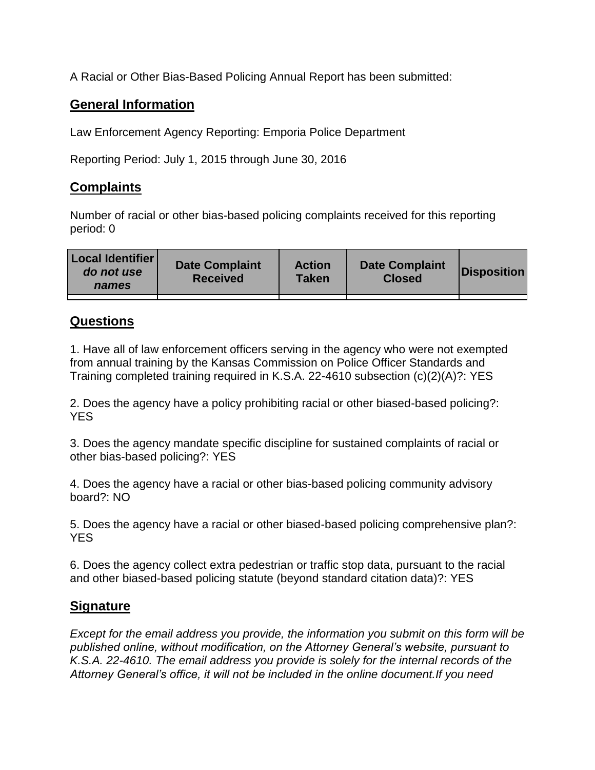A Racial or Other Bias-Based Policing Annual Report has been submitted:

## **General Information**

Law Enforcement Agency Reporting: Emporia Police Department

Reporting Period: July 1, 2015 through June 30, 2016

## **Complaints**

Number of racial or other bias-based policing complaints received for this reporting period: 0

| <b>Local Identifier</b><br>do not use<br>names | <b>Date Complaint</b><br><b>Received</b> | <b>Action</b><br><b>Taken</b> | <b>Date Complaint</b><br><b>Closed</b> | Disposition |
|------------------------------------------------|------------------------------------------|-------------------------------|----------------------------------------|-------------|
|                                                |                                          |                               |                                        |             |

## **Questions**

1. Have all of law enforcement officers serving in the agency who were not exempted from annual training by the Kansas Commission on Police Officer Standards and Training completed training required in K.S.A. 22-4610 subsection (c)(2)(A)?: YES

2. Does the agency have a policy prohibiting racial or other biased-based policing?: YES

3. Does the agency mandate specific discipline for sustained complaints of racial or other bias-based policing?: YES

4. Does the agency have a racial or other bias-based policing community advisory board?: NO

5. Does the agency have a racial or other biased-based policing comprehensive plan?: YES

6. Does the agency collect extra pedestrian or traffic stop data, pursuant to the racial and other biased-based policing statute (beyond standard citation data)?: YES

## **Signature**

*Except for the email address you provide, the information you submit on this form will be published online, without modification, on the Attorney General's website, pursuant to K.S.A. 22-4610. The email address you provide is solely for the internal records of the Attorney General's office, it will not be included in the online document.If you need*